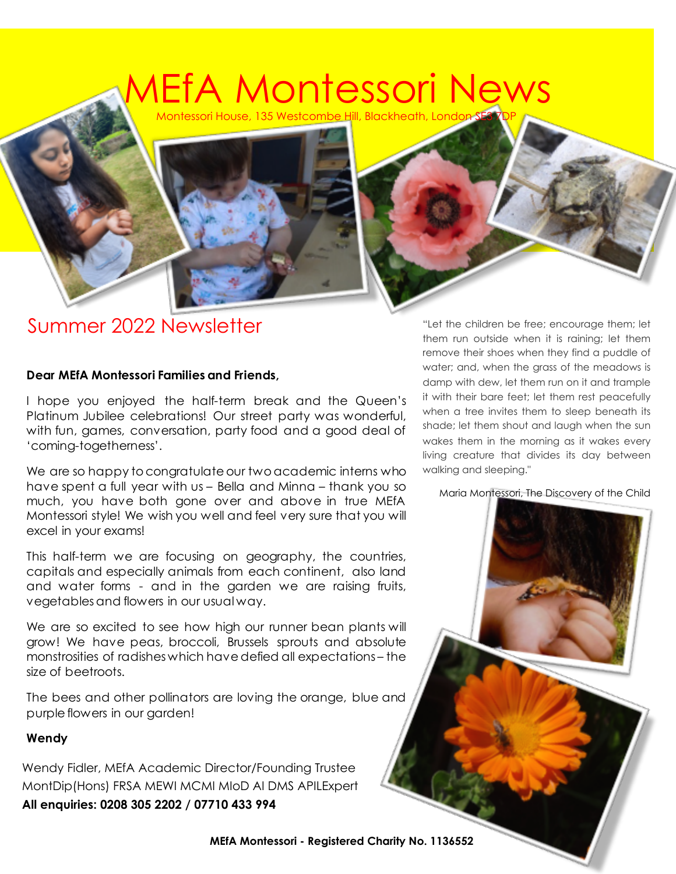# EfA Montessori News

Montessori House, 135 Westcombe Hill, Blackheath, Londo

#### Summer 2022 Newsletter

#### **Dear MEfA Montessori Families and Friends,**

I hope you enjoyed the half-term break and the Queen's Platinum Jubilee celebrations! Our street party was wonderful, with fun, games, conversation, party food and a good deal of 'coming-togetherness'.

We are so happy to congratulate our two academic interns who have spent a full year with us – Bella and Minna – thank you so much, you have both gone over and above in true MEfA Montessori style! We wish you well and feel very sure that you will excel in your exams!

This half-term we are focusing on geography, the countries, capitals and especially animals from each continent, also land and water forms - and in the garden we are raising fruits, vegetables and flowers in our usual way.

We are so excited to see how high our runner bean plants will grow! We have peas, broccoli, Brussels sprouts and absolute monstrosities of radishes which have defied all expectations – the size of beetroots.

The bees and other pollinators are loving the orange, blue and purple flowers in our garden!

#### **Wendy**

Wendy Fidler, MEfA Academic Director/Founding Trustee MontDip(Hons) FRSA MEWI MCMI MIoD AI DMS APILExpert **All enquiries: 0208 305 2202 / 07710 433 994**

"Let the children be free; encourage them; let them run outside when it is raining; let them remove their shoes when they find a puddle of water; and, when the grass of the meadows is damp with dew, let them run on it and trample it with their bare feet; let them rest peacefully when a tree invites them to sleep beneath its shade; let them shout and laugh when the sun wakes them in the morning as it wakes every living creature that divides its day between walking and sleeping."

Maria Montessori, The Discovery of the Child

**MEfA Montessori - Registered Charity No. 1136552**